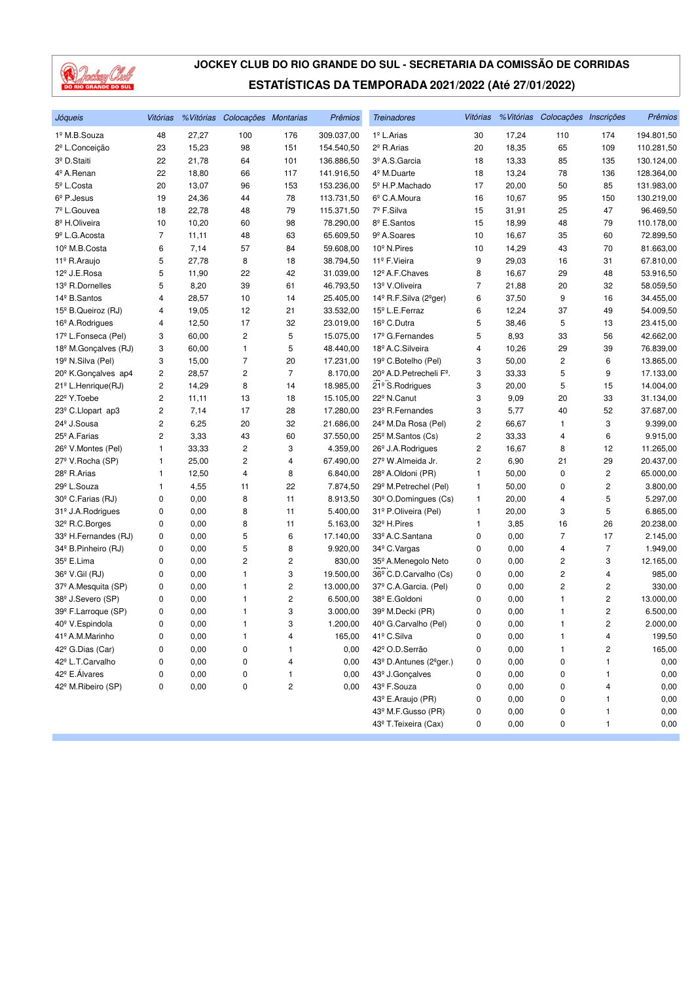

| Jóqueis                          | Vitórias                |       | %Vitórias Colocações Montarias |                | Prêmios    | <b>Treinadores</b>                               | Vitórias |       | % Vitórias Colocações Inscrições |                         | Prêmios    |
|----------------------------------|-------------------------|-------|--------------------------------|----------------|------------|--------------------------------------------------|----------|-------|----------------------------------|-------------------------|------------|
| 1º M.B.Souza                     | 48                      | 27,27 | 100                            | 176            | 309.037,00 | 1º L.Arias                                       | 30       | 17,24 | 110                              | 174                     | 194.801,50 |
| 2º L.Conceição                   | 23                      | 15,23 | 98                             | 151            | 154.540,50 | 2 <sup>º</sup> R.Arias                           | 20       | 18,35 | 65                               | 109                     | 110.281,50 |
| 3º D.Staiti                      | 22                      | 21,78 | 64                             | 101            | 136.886,50 | 3º A.S.Garcia                                    | 18       | 13,33 | 85                               | 135                     | 130.124,00 |
| 4º A.Renan                       | 22                      | 18,80 | 66                             | 117            | 141.916,50 | 4 <sup>º</sup> M.Duarte                          | 18       | 13,24 | 78                               | 136                     | 128.364,00 |
| 5 <sup>º</sup> L.Costa           | 20                      | 13,07 | 96                             | 153            | 153.236,00 | 5º H.P.Machado                                   | 17       | 20,00 | 50                               | 85                      | 131.983,00 |
| $6^{\circ}$ P. Jesus             | 19                      | 24,36 | 44                             | 78             | 113.731,50 | 6 <sup>°</sup> C.A.Moura                         | 16       | 10,67 | 95                               | 150                     | 130.219,00 |
| 7º L.Gouvea                      | 18                      | 22,78 | 48                             | 79             | 115.371,50 | 7º F.Silva                                       | 15       | 31,91 | 25                               | 47                      | 96.469,50  |
| 8 <sup>º</sup> H.Oliveira        | 10                      | 10,20 | 60                             | 98             | 78.290,00  | 8 <sup>º</sup> E.Santos                          | 15       | 18,99 | 48                               | 79                      | 110.178,00 |
| 9 <sup>º</sup> L.G. Acosta       | $\overline{7}$          | 11,11 | 48                             | 63             | 65.609,50  | 9 <sup>º</sup> A.Soares                          | 10       | 16,67 | 35                               | 60                      | 72.899,50  |
| 10 <sup>º</sup> M.B.Costa        | 6                       | 7,14  | 57                             | 84             | 59.608,00  | 10 <sup>°</sup> N.Pires                          | 10       | 14,29 | 43                               | 70                      | 81.663,00  |
| 11º R.Araujo                     | 5                       | 27,78 | 8                              | 18             | 38.794,50  | 11º F. Vieira                                    | 9        | 29,03 | 16                               | 31                      | 67.810,00  |
| 12 <sup>º</sup> J.E.Rosa         | 5                       | 11,90 | 22                             | 42             | 31.039,00  | 12 <sup>º</sup> A.F.Chaves                       | 8        | 16,67 | 29                               | 48                      | 53.916,50  |
| 13 <sup>º</sup> R.Dornelles      | 5                       | 8,20  | 39                             | 61             | 46.793,50  | 13º V.Oliveira                                   | 7        | 21,88 | 20                               | 32                      | 58.059,50  |
| 14 <sup>º</sup> B.Santos         | $\overline{4}$          | 28,57 | 10                             | 14             | 25.405,00  | 14º R.F.Silva (2ºger)                            | 6        | 37,50 | 9                                | 16                      | 34.455,00  |
| 15 <sup>°</sup> B.Queiroz (RJ)   | 4                       | 19,05 | 12                             | 21             | 33.532,00  | 15 <sup>°</sup> L.E.Ferraz                       | 6        | 12,24 | 37                               | 49                      | 54.009,50  |
| 16 <sup>°</sup> A.Rodrigues      | 4                       | 12,50 | 17                             | 32             | 23.019,00  | 16 <sup>°</sup> C.Dutra                          | 5        | 38,46 | 5                                | 13                      | 23.415,00  |
| 17º L.Fonseca (Pel)              | 3                       | 60,00 | $\overline{\mathbf{c}}$        | 5              | 15.075,00  | 17 <sup>º</sup> G.Fernandes                      | 5        | 8,93  | 33                               | 56                      | 42.662,00  |
| 18 <sup>º</sup> M.Gonçalves (RJ) | 3                       | 60,00 | 1                              | 5              | 48.440,00  | 18 <sup>º</sup> A.C.Silveira                     | 4        | 10,26 | 29                               | 39                      | 76.839,00  |
| 19 <sup>º</sup> N.Silva (Pel)    | 3                       | 15,00 | $\overline{7}$                 | 20             | 17.231,00  | 19 <sup>°</sup> C.Botelho (Pel)                  | 3        | 50,00 | 2                                | 6                       | 13.865,00  |
| 20 <sup>°</sup> K.Gonçalves ap4  | $\overline{\mathbf{c}}$ | 28,57 | $\overline{\mathbf{c}}$        | $\overline{7}$ | 8.170,00   | 20 <sup>°</sup> A.D. Petrecheli F <sup>°</sup> . | 3        | 33,33 | 5                                | 9                       | 17.133,00  |
| 21 <sup>°</sup> L.Henrique(RJ)   | $\overline{\mathbf{c}}$ | 14,29 | 8                              | 14             | 18.985,00  | 21 <sup>°</sup> S.Rodrigues                      | 3        | 20,00 | 5                                | 15                      | 14.004,00  |
| 22 <sup>°</sup> Y. Toebe         | $\overline{c}$          | 11,11 | 13                             | 18             | 15.105,00  | 22 <sup>°</sup> N.Canut                          | 3        | 9,09  | 20                               | 33                      | 31.134,00  |
| 23 <sup>°</sup> C.Llopart ap3    | $\overline{c}$          | 7,14  | 17                             | 28             | 17.280,00  | 23 <sup>º</sup> R.Fernandes                      | 3        | 5,77  | 40                               | 52                      | 37.687,00  |
| 24 <sup>°</sup> J.Sousa          | $\overline{c}$          | 6,25  | 20                             | 32             | 21.686,00  | 24 <sup>°</sup> M.Da Rosa (Pel)                  | 2        | 66,67 | 1                                | 3                       | 9.399,00   |
| 25 <sup>°</sup> A.Farias         | $\overline{c}$          | 3,33  | 43                             | 60             | 37.550,00  | 25 <sup>°</sup> M.Santos (Cs)                    | 2        | 33,33 | 4                                | 6                       | 9.915,00   |
| 26 <sup>°</sup> V.Montes (Pel)   | 1                       | 33,33 | $\overline{\mathbf{c}}$        | 3              | 4.359,00   | 26 <sup>°</sup> J.A.Rodrigues                    | 2        | 16,67 | 8                                | 12                      | 11.265,00  |
| 27º V.Rocha (SP)                 | 1                       | 25,00 | $\overline{\mathbf{c}}$        | 4              | 67.490,00  | 27 <sup>°</sup> W.Almeida Jr.                    | 2        | 6,90  | 21                               | 29                      | 20.437,00  |
| 28 <sup>°</sup> R.Arias          | 1                       | 12,50 | $\overline{4}$                 | 8              | 6.840,00   | 28 <sup>°</sup> A.Oldoni (PR)                    | 1        | 50,00 | 0                                | $\overline{\mathbf{c}}$ | 65.000,00  |
| 29º L.Souza                      | 1                       | 4,55  | 11                             | 22             | 7.874,50   | 29 <sup>°</sup> M.Petrechel (Pel)                | 1        | 50,00 | 0                                | 2                       | 3.800,00   |
| 30 <sup>°</sup> C.Farias (RJ)    | 0                       | 0,00  | 8                              | 11             | 8.913,50   | 30 <sup>°</sup> O.Domingues (Cs)                 | 1        | 20,00 | 4                                | 5                       | 5.297,00   |
| 31 <sup>º</sup> J.A. Rodrigues   | 0                       | 0,00  | 8                              | 11             | 5.400,00   | 31º P.Oliveira (Pel)                             | 1        | 20,00 | 3                                | 5                       | 6.865,00   |
| 32º R.C.Borges                   | 0                       | 0,00  | 8                              | 11             | 5.163,00   | 32 <sup>°</sup> H.Pires                          | 1        | 3,85  | 16                               | 26                      | 20.238,00  |
| 33º H.Fernandes (RJ)             | 0                       | 0,00  | 5                              | 6              | 17.140,00  | 33º A.C.Santana                                  | 0        | 0,00  | $\overline{7}$                   | 17                      | 2.145,00   |
| 34º B.Pinheiro (RJ)              | 0                       | 0,00  | 5                              | 8              | 9.920,00   | 34 <sup>°</sup> C.Vargas                         | 0        | 0,00  | 4                                | 7                       | 1.949,00   |
| 35º E.Lima                       | 0                       | 0,00  | $\overline{c}$                 | 2              | 830,00     | 35 <sup>°</sup> A.Menegolo Neto                  | 0        | 0,00  | 2                                | 3                       | 12.165,00  |
| 36 <sup>°</sup> V.Gil (RJ)       | 0                       | 0,00  | $\mathbf{1}$                   | 3              | 19.500,00  | 36º C.D.Carvalho (Cs)                            | 0        | 0,00  | $\overline{\mathbf{c}}$          | 4                       | 985,00     |
| 37º A.Mesquita (SP)              | 0                       | 0,00  | 1                              | 2              | 13.000,00  | 37º C.A.Garcia. (Pel)                            | 0        | 0,00  | 2                                | 2                       | 330,00     |
| 38 <sup>°</sup> J.Severo (SP)    | 0                       | 0,00  | 1                              | 2              | 6.500,00   | 38º E.Goldoni                                    | 0        | 0,00  | 1                                | 2                       | 13.000,00  |
| 39º F.Larroque (SP)              | 0                       | 0,00  | 1                              | 3              | 3.000,00   | 39 <sup>°</sup> M.Decki (PR)                     | 0        | 0,00  | 1                                | 2                       | 6.500,00   |
| 40 <sup>°</sup> V.Espindola      | 0                       | 0,00  | $\mathbf{1}$                   | 3              | 1.200,00   | 40 <sup>°</sup> G.Carvalho (Pel)                 | 0        | 0,00  | $\mathbf{1}$                     | 2                       | 2.000,00   |
| 41º A.M.Marinho                  | 0                       | 0,00  | $\mathbf{1}$                   | 4              | 165,00     | 41º C.Silva                                      | 0        | 0,00  | 1                                | 4                       | 199,50     |
| 42 <sup>°</sup> G.Dias (Car)     | 0                       | 0,00  | 0                              |                | 0,00       | 42º O.D.Serrão                                   | 0        | 0,00  | 1                                | 2                       | 165,00     |
| 42º L.T.Carvalho                 | 0                       | 0,00  | 0                              | 4              | 0,00       | 43º D.Antunes (2 <sup>o</sup> ger.)              | 0        | 0,00  | 0                                | 1                       | 0,00       |
| 42º E.Álvares                    | 0                       | 0,00  | 0                              | 1              | 0,00       | 43 <sup>º</sup> J.Gonçalves                      | 0        | 0,00  | 0                                | 1                       | 0,00       |
| 42º M.Ribeiro (SP)               | 0                       | 0,00  | 0                              | 2              | 0,00       | 43º F.Souza                                      | 0        | 0,00  | 0                                | 4                       | 0,00       |
|                                  |                         |       |                                |                |            | 43º E.Araujo (PR)                                | 0        | 0,00  | 0                                | 1                       | 0,00       |
|                                  |                         |       |                                |                |            | 43º M.F.Gusso (PR)                               | 0        | 0,00  | 0                                | 1                       | 0,00       |
|                                  |                         |       |                                |                |            | 43º T. Teixeira (Cax)                            | 0        | 0,00  | 0                                | 1                       | 0,00       |
|                                  |                         |       |                                |                |            |                                                  |          |       |                                  |                         |            |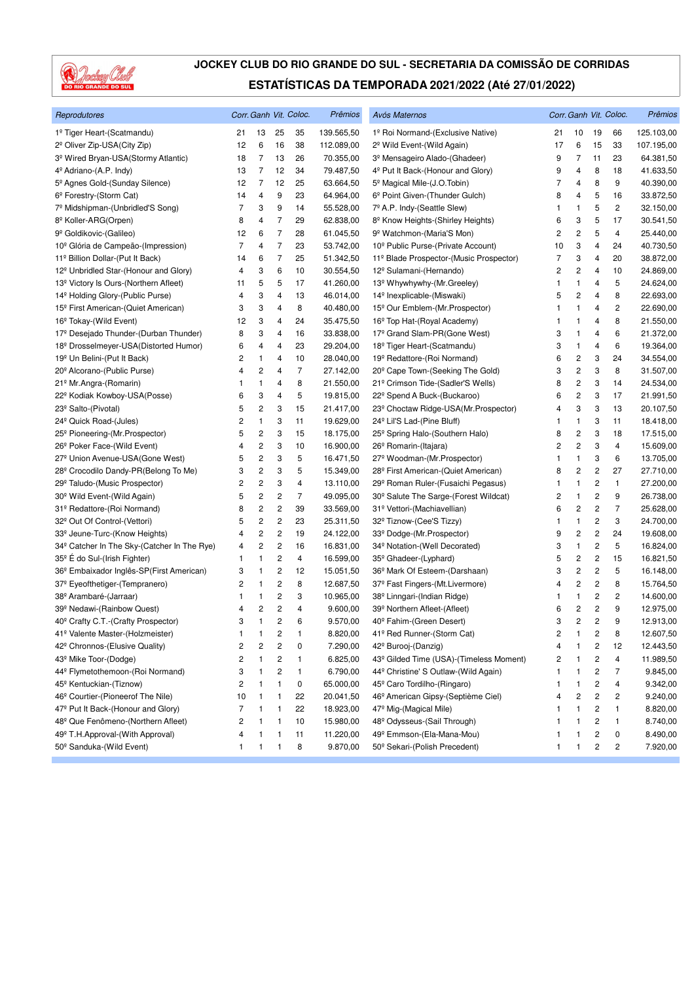

| Reprodutores                                            |                         |                         |                         | Corr. Ganh Vit. Coloc. | Prêmios    | Avós Maternos                                     |    |                         |                         | Corr. Ganh Vit. Coloc.  | Prêmios    |
|---------------------------------------------------------|-------------------------|-------------------------|-------------------------|------------------------|------------|---------------------------------------------------|----|-------------------------|-------------------------|-------------------------|------------|
| 1º Tiger Heart-(Scatmandu)                              | 21                      | 13                      | 25                      | 35                     | 139.565,50 | 1º Roi Normand-(Exclusive Native)                 | 21 | 10                      | 19                      | 66                      | 125.103,00 |
| 2 <sup>º</sup> Oliver Zip-USA(City Zip)                 | 12                      | 6                       | 16                      | 38                     | 112.089,00 | 2 <sup>°</sup> Wild Event-(Wild Again)            | 17 | 6                       | 15                      | 33                      | 107.195,00 |
| 3 <sup>º</sup> Wired Bryan-USA(Stormy Atlantic)         | 18                      | $\overline{7}$          | 13                      | 26                     | 70.355,00  | 3º Mensageiro Alado-(Ghadeer)                     | 9  | $\overline{7}$          | 11                      | 23                      | 64.381,50  |
| 4 <sup>º</sup> Adriano-(A.P. Indy)                      | 13                      | $\overline{7}$          | 12                      | 34                     | 79.487,50  | 4 <sup>º</sup> Put It Back-(Honour and Glory)     | 9  | 4                       | 8                       | 18                      | 41.633,50  |
| 5 <sup>°</sup> Agnes Gold-(Sunday Silence)              | 12                      | $\overline{7}$          | 12                      | 25                     | 63.664,50  | 5 <sup>°</sup> Magical Mile-(J.O.Tobin)           | 7  | 4                       | 8                       | 9                       | 40.390,00  |
| 6 <sup>°</sup> Forestry-(Storm Cat)                     | 14                      | 4                       | 9                       | 23                     | 64.964,00  | 6 <sup>°</sup> Point Given-(Thunder Gulch)        | 8  | 4                       | 5                       | 16                      | 33.872,50  |
| 7 <sup>º</sup> Midshipman-(Unbridled'S Song)            | 7                       | 3                       | 9                       | 14                     | 55.528,00  | 7º A.P. Indy-(Seattle Slew)                       | 1  | $\mathbf{1}$            | 5                       | $\overline{\mathbf{c}}$ | 32.150,00  |
| 8 <sup>º</sup> Koller-ARG(Orpen)                        | 8                       | 4                       | 7                       | 29                     | 62.838,00  | 8 <sup>º</sup> Know Heights-(Shirley Heights)     | 6  | 3                       | 5                       | 17                      | 30.541,50  |
| 9º Goldikovic-(Galileo)                                 | 12                      | 6                       | $\overline{7}$          | 28                     | 61.045,50  | 9º Watchmon-(Maria'S Mon)                         | 2  | 2                       | 5                       | 4                       | 25.440,00  |
| 10 <sup>°</sup> Glória de Campeão-(Impression)          | $\overline{7}$          | 4                       | $\overline{7}$          | 23                     | 53.742,00  | 10 <sup>°</sup> Public Purse-(Private Account)    | 10 | 3                       | 4                       | 24                      | 40.730,50  |
| 11º Billion Dollar-(Put It Back)                        | 14                      | 6                       | $\overline{7}$          | 25                     | 51.342,50  | 11º Blade Prospector-(Music Prospector)           | 7  | 3                       | 4                       | 20                      | 38.872,00  |
| 12 <sup>°</sup> Unbridled Star-(Honour and Glory)       | 4                       | 3                       | 6                       | 10                     | 30.554,50  | 12º Sulamani-(Hernando)                           | 2  | $\overline{c}$          | 4                       | 10                      | 24.869,00  |
| 13 <sup>°</sup> Victory Is Ours-(Northern Afleet)       | 11                      | 5                       | 5                       | 17                     | 41.260,00  | 13 <sup>°</sup> Whywhywhy-(Mr.Greeley)            | 1  | $\mathbf{1}$            | 4                       | 5                       | 24.624,00  |
| 14 <sup>º</sup> Holding Glory-(Public Purse)            | 4                       | 3                       | 4                       | 13                     | 46.014,00  | 14 <sup>°</sup> Inexplicable-(Miswaki)            | 5  | 2                       | 4                       | 8                       | 22.693,00  |
| 15 <sup>°</sup> First American-(Quiet American)         | 3                       | 3                       | 4                       | 8                      | 40.480,00  | 15 <sup>°</sup> Our Emblem-(Mr. Prospector)       | 1  | 1                       | 4                       | 2                       | 22.690,00  |
| 16 <sup>°</sup> Tokay-(Wild Event)                      | 12                      | 3                       | 4                       | 24                     | 35.475,50  | 16 <sup>°</sup> Top Hat-(Royal Academy)           | 1  | $\mathbf{1}$            | 4                       | 8                       | 21.550,00  |
| 17 <sup>º</sup> Desejado Thunder-(Durban Thunder)       | 8                       | 3                       | 4                       | 16                     | 33.838,00  | 17º Grand Slam-PR(Gone West)                      | 3  | 1                       | 4                       | 6                       | 21.372,00  |
| 18º Drosselmeyer-USA(Distorted Humor)                   | 6                       | 4                       | 4                       | 23                     | 29.204,00  | 18 <sup>°</sup> Tiger Heart-(Scatmandu)           | 3  | $\mathbf{1}$            | 4                       | 6                       | 19.364,00  |
| 19 <sup>°</sup> Un Belini-(Put It Back)                 | 2                       | 1                       | 4                       | 10                     | 28.040,00  | 19 <sup>°</sup> Redattore-(Roi Normand)           | 6  | 2                       | 3                       | 24                      | 34.554,00  |
| 20 <sup>°</sup> Alcorano-(Public Purse)                 | 4                       | 2                       | 4                       | $\overline{7}$         | 27.142,00  | 20 <sup>°</sup> Cape Town-(Seeking The Gold)      | 3  | 2                       | 3                       | 8                       | 31.507,00  |
| 21º Mr.Angra-(Romarin)                                  | 1                       | 1                       | 4                       | 8                      | 21.550,00  | 21º Crimson Tide-(Sadler'S Wells)                 | 8  | $\overline{c}$          | 3                       | 14                      | 24.534,00  |
| 22º Kodiak Kowboy-USA(Posse)                            | 6                       | 3                       | 4                       | 5                      | 19.815,00  | 22 <sup>°</sup> Spend A Buck-(Buckaroo)           | 6  | $\overline{\mathbf{c}}$ | 3                       | 17                      | 21.991,50  |
| 23 <sup>°</sup> Salto-(Pivotal)                         | 5                       | 2                       | 3                       | 15                     | 21.417,00  | 23º Choctaw Ridge-USA(Mr.Prospector)              | 4  | 3                       | 3                       | 13                      | 20.107,50  |
| 24 <sup>°</sup> Quick Road-(Jules)                      | 2                       | 1                       | 3                       | 11                     | 19.629,00  | 24 <sup>°</sup> Lil'S Lad-(Pine Bluff)            | 1  | $\mathbf{1}$            | 3                       | 11                      | 18.418,00  |
| 25 <sup>°</sup> Pioneering-(Mr.Prospector)              | 5                       | 2                       | 3                       | 15                     | 18.175,00  | 25 <sup>°</sup> Spring Halo-(Southern Halo)       | 8  | $\overline{\mathbf{c}}$ | 3                       | 18                      | 17.515,00  |
| 26 <sup>°</sup> Poker Face-(Wild Event)                 | 4                       | 2                       | 3                       | 10                     | 16.900,00  | 26 <sup>°</sup> Romarin-(Itajara)                 | 2  | $\overline{c}$          | 3                       | $\overline{4}$          | 15.609,00  |
| 27 <sup>°</sup> Union Avenue-USA(Gone West)             | 5                       | 2                       | 3                       | 5                      | 16.471,50  | 27 <sup>°</sup> Woodman-(Mr.Prospector)           | 1  | 1                       | 3                       | 6                       | 13.705,00  |
| 28 <sup>°</sup> Crocodilo Dandy-PR(Belong To Me)        | 3                       | 2                       | 3                       | 5                      | 15.349,00  | 28 <sup>°</sup> First American-(Quiet American)   | 8  | $\overline{\mathbf{c}}$ | $\overline{\mathbf{c}}$ | 27                      | 27.710,00  |
| 29º Taludo-(Music Prospector)                           | 2                       | 2                       | 3                       | 4                      | 13.110,00  | 29º Roman Ruler-(Fusaichi Pegasus)                | 1  | 1                       | $\overline{\mathbf{c}}$ | $\mathbf{1}$            | 27.200,00  |
| 30 <sup>°</sup> Wild Event-(Wild Again)                 | 5                       | 2                       | 2                       | 7                      | 49.095,00  | 30 <sup>°</sup> Salute The Sarge-(Forest Wildcat) | 2  | $\mathbf{1}$            | $\overline{c}$          | 9                       | 26.738,00  |
| 31º Redattore-(Roi Normand)                             | 8                       | 2                       | $\overline{\mathbf{c}}$ | 39                     | 33.569,00  | 31º Vettori-(Machiavellian)                       | 6  | $\overline{c}$          | $\overline{c}$          | $\overline{7}$          | 25.628,00  |
| 32 <sup>°</sup> Out Of Control-(Vettori)                | 5                       | 2                       | 2                       | 23                     | 25.311,50  | 32º Tiznow-(Cee'S Tizzy)                          | 1  | $\mathbf{1}$            | 2                       | 3                       | 24.700,00  |
| 33 <sup>°</sup> Jeune-Turc-(Know Heights)               | 4                       | $\overline{\mathbf{c}}$ | 2                       | 19                     | 24.122,00  | 33º Dodge-(Mr. Prospector)                        | 9  | $\overline{\mathbf{c}}$ | $\overline{\mathbf{c}}$ | 24                      | 19.608,00  |
| 34 <sup>°</sup> Catcher In The Sky-(Catcher In The Rye) | 4                       | 2                       | 2                       | 16                     | 16.831,00  | 34 <sup>°</sup> Notation-(Well Decorated)         | 3  | $\mathbf{1}$            | 2                       | 5                       | 16.824,00  |
| 35 <sup>°</sup> É do Sul-(Irish Fighter)                | 1                       | 1                       | $\overline{\mathbf{c}}$ | 4                      | 16.599,00  | 35 <sup>°</sup> Ghadeer-(Lyphard)                 | 5  | $\overline{c}$          | $\overline{\mathbf{c}}$ | 15                      | 16.821,50  |
| 36 <sup>°</sup> Embaixador Inglês-SP(First American)    | 3                       | 1                       | 2                       | 12                     | 15.051,50  | 36 <sup>°</sup> Mark Of Esteem-(Darshaan)         | 3  | $\overline{\mathbf{c}}$ | $\overline{c}$          | 5                       | 16.148,00  |
| 37º Eyeofthetiger-(Tempranero)                          | 2                       | 1                       | 2                       | 8                      | 12.687,50  | 37º Fast Fingers-(Mt.Livermore)                   | 4  | 2                       | $\overline{c}$          | 8                       | 15.764,50  |
| 38 <sup>°</sup> Arambaré-(Jarraar)                      | 1                       | 1                       | 2                       | 3                      | 10.965,00  | 38 <sup>°</sup> Linngari-(Indian Ridge)           | 1  | 1                       | 2                       | 2                       | 14.600,00  |
| 39 <sup>°</sup> Nedawi-(Rainbow Quest)                  | 4                       | 2                       | 2                       | 4                      | 9.600,00   | 39 <sup>°</sup> Northern Afleet-(Afleet)          | 6  | 2                       | 2                       | 9                       | 12.975,00  |
| 40° Crafty C.T.-(Crafty Prospector)                     | 3                       | $\mathbf{1}$            | 2                       | 6                      | 9.570,00   | 40 <sup>°</sup> Fahim-(Green Desert)              | 3  | $\overline{2}$          | $\overline{2}$          | 9                       | 12.913,00  |
| 41º Valente Master-(Holzmeister)                        | 1                       | 1                       | 2                       | 1                      | 8.820,00   | 41º Red Runner-(Storm Cat)                        | 2  | 1                       | $\overline{c}$          | 8                       | 12.607,50  |
| 42º Chronnos-(Elusive Quality)                          | 2                       | 2                       | 2                       | 0                      | 7.290,00   | 42 <sup>°</sup> Burooj-(Danzig)                   | 4  | 1                       | $\overline{\mathbf{c}}$ | 12                      | 12.443,50  |
| 43º Mike Toor-(Dodge)                                   | 2                       | 1                       | 2                       | 1                      | 6.825,00   | 43º Gilded Time (USA)-(Timeless Moment)           | 2  | $\mathbf{1}$            | 2                       | 4                       | 11.989,50  |
| 44º Flymetothemoon-(Roi Normand)                        | 3                       | 1                       | 2                       | 1                      | 6.790,00   | 44º Christine' S Outlaw-(Wild Again)              | 1  | 1                       | 2                       | 7                       | 9.845,00   |
| 45 <sup>°</sup> Kentuckian-(Tiznow)                     | 2                       | 1                       | 1                       | 0                      | 65.000,00  | 45 <sup>°</sup> Caro Tordilho-(Ringaro)           | 1  | $\mathbf{1}$            | 2                       | 4                       | 9.342,00   |
| 46 <sup>°</sup> Courtier-(Pioneerof The Nile)           | 10                      | $\mathbf{1}$            | 1                       | 22                     | 20.041,50  | 46 <sup>°</sup> American Gipsy-(Septième Ciel)    | 4  | $\overline{\mathbf{c}}$ | $\overline{\mathbf{c}}$ | 2                       | 9.240,00   |
| 47º Put It Back-(Honour and Glory)                      | 7                       | 1                       | 1                       | 22                     | 18.923,00  | 47º Mig-(Magical Mile)                            | 1  | 1                       | $\overline{\mathbf{c}}$ | 1                       | 8.820,00   |
| 48º Que Fenômeno-(Northern Afleet)                      | $\overline{\mathbf{c}}$ | 1                       | 1                       | 10                     | 15.980,00  | 48 <sup>°</sup> Odysseus-(Sail Through)           | 1  | 1                       | 2                       | 1                       | 8.740,00   |
| 49º T.H.Approval-(With Approval)                        | 4                       | 1                       | 1                       | 11                     | 11.220,00  | 49º Emmson-(Ela-Mana-Mou)                         | 1  | 1                       | 2                       | 0                       | 8.490,00   |
| 50° Sanduka-(Wild Event)                                | 1                       | 1                       | 1                       | 8                      | 9.870,00   | 50° Sekari-(Polish Precedent)                     | 1  | $\mathbf{1}$            | 2                       | 2                       | 7.920,00   |
|                                                         |                         |                         |                         |                        |            |                                                   |    |                         |                         |                         |            |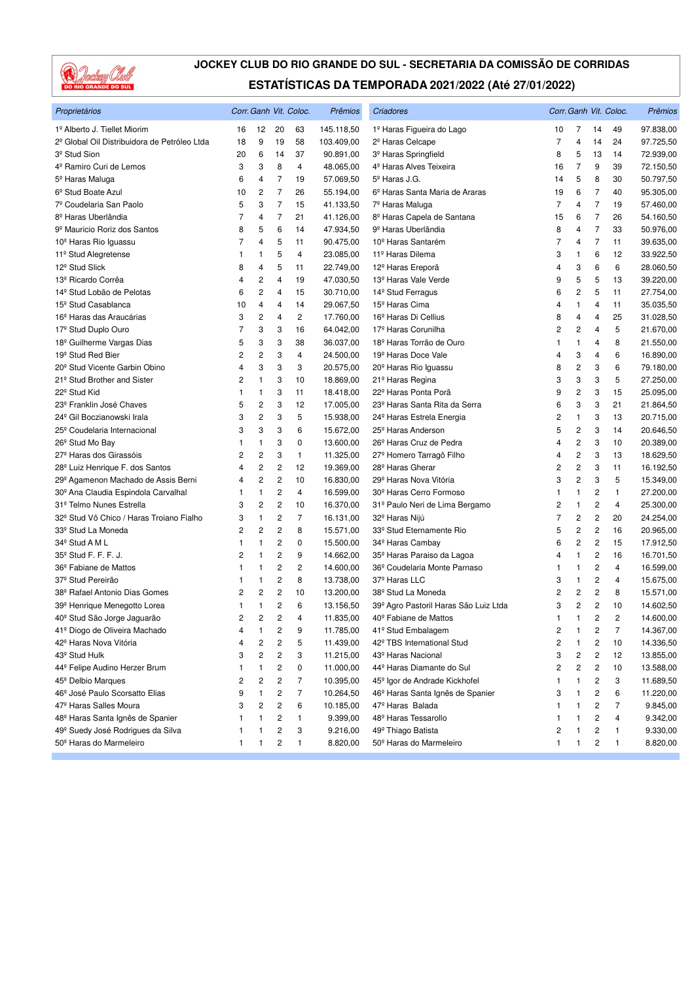

| Proprietários                                        |    |                         |                         | Corr. Ganh Vit. Coloc. | Prêmios    | Criadores                                    |                |                |                         | Corr. Ganh Vit. Coloc. | Prêmios   |
|------------------------------------------------------|----|-------------------------|-------------------------|------------------------|------------|----------------------------------------------|----------------|----------------|-------------------------|------------------------|-----------|
| 1º Alberto J. Tiellet Miorim                         | 16 | 12                      | 20                      | 63                     | 145.118,50 | 1º Haras Figueira do Lago                    | 10             | 7              | 14                      | 49                     | 97.838,00 |
| 2º Global Oil Distribuidora de Petróleo Ltda         | 18 | 9                       | 19                      | 58                     | 103.409,00 | 2 <sup>º</sup> Haras Celcape                 | 7              | 4              | 14                      | 24                     | 97.725,50 |
| 3 <sup>º</sup> Stud Sion                             | 20 | 6                       | 14                      | 37                     | 90.891,00  | 3 <sup>º</sup> Haras Springfield             | 8              | 5              | 13                      | 14                     | 72.939,00 |
| 4º Ramiro Curi de Lemos                              | 3  | 3                       | 8                       | 4                      | 48.065,00  | 4 <sup>º</sup> Haras Alves Teixeira          | 16             | 7              | 9                       | 39                     | 72.150,50 |
| 5º Haras Maluga                                      | 6  | 4                       | 7                       | 19                     | 57.069,50  | 5 <sup>°</sup> Haras J.G.                    | 14             | 5              | 8                       | 30                     | 50.797,50 |
| 6 <sup>°</sup> Stud Boate Azul                       | 10 | $\overline{c}$          | 7                       | 26                     | 55.194,00  | 6 <sup>°</sup> Haras Santa Maria de Araras   | 19             | 6              | $\overline{7}$          | 40                     | 95.305,00 |
| 7º Coudelaria San Paolo                              | 5  | 3                       | $\overline{7}$          | 15                     | 41.133,50  | 7º Haras Maluga                              | $\overline{7}$ | 4              | $\overline{7}$          | 19                     | 57.460,00 |
| 8 <sup>º</sup> Haras Uberlândia                      | 7  | 4                       | $\overline{7}$          | 21                     | 41.126,00  | 8º Haras Capela de Santana                   | 15             | 6              | $\overline{7}$          | 26                     | 54.160,50 |
| 9 <sup>º</sup> Mauricio Roriz dos Santos             | 8  | 5                       | 6                       | 14                     | 47.934,50  | 9 <sup>º</sup> Haras Uberlândia              | 8              | 4              | $\overline{7}$          | 33                     | 50.976,00 |
| 10 <sup>°</sup> Haras Rio Iguassu                    | 7  | 4                       | 5                       | 11                     | 90.475,00  | 10 <sup>°</sup> Haras Santarém               | $\overline{7}$ | $\overline{4}$ | $\overline{7}$          | 11                     | 39.635,00 |
| 11º Stud Alegretense                                 | 1  | 1                       | 5                       | 4                      | 23.085,00  | 11º Haras Dilema                             | 3              | $\mathbf{1}$   | 6                       | 12                     | 33.922,50 |
| 12 <sup>º</sup> Stud Slick                           | 8  | 4                       | 5                       | 11                     | 22.749,00  | 12 <sup>º</sup> Haras Ereporã                | 4              | 3              | 6                       | 6                      | 28.060,50 |
| 13º Ricardo Corrêa                                   | 4  | $\overline{\mathbf{c}}$ | 4                       | 19                     | 47.030,50  | 13 <sup>°</sup> Haras Vale Verde             | 9              | 5              | 5                       | 13                     | 39.220,00 |
| 14 <sup>º</sup> Stud Lobão de Pelotas                | 6  | 2                       | 4                       | 15                     | 30.710,00  | 14 <sup>º</sup> Stud Ferragus                | 6              | 2              | 5                       | 11                     | 27.754,00 |
| 15 <sup>°</sup> Stud Casablanca                      | 10 | 4                       | 4                       | 14                     | 29.067,50  | 15 <sup>°</sup> Haras Cima                   | 4              | 1              | $\overline{4}$          | 11                     | 35.035,50 |
| 16 <sup>°</sup> Haras das Araucárias                 | 3  | 2                       | 4                       | 2                      | 17.760,00  | 16 <sup>º</sup> Haras Di Cellius             | 8              | 4              | $\overline{4}$          | 25                     | 31.028,50 |
| 17 <sup>º</sup> Stud Duplo Ouro                      | 7  | 3                       | 3                       | 16                     | 64.042,00  | 17 <sup>º</sup> Haras Corunilha              | 2              | 2              | $\overline{4}$          | 5                      | 21.670,00 |
| 18 <sup>°</sup> Guilherme Vargas Dias                | 5  | 3                       | 3                       | 38                     | 36.037,00  | 18 <sup>º</sup> Haras Torrão de Ouro         | 1              | 1              | 4                       | 8                      | 21.550,00 |
| 19 <sup>°</sup> Stud Red Bier                        | 2  | 2                       | 3                       | 4                      | 24.500,00  | 19 <sup>º</sup> Haras Doce Vale              | 4              | 3              | 4                       | 6                      | 16.890,00 |
| 20 <sup>°</sup> Stud Vicente Garbin Obino            | 4  | 3                       | 3                       | 3                      | 20.575,00  | 20 <sup>°</sup> Haras Rio Iguassu            | 8              | 2              | 3                       | 6                      | 79.180,00 |
| 21 <sup>°</sup> Stud Brother and Sister              | 2  | 1                       | 3                       | 10                     | 18.869,00  | 21 <sup>º</sup> Haras Regina                 | 3              | 3              | 3                       | 5                      | 27.250,00 |
| 22 <sup>°</sup> Stud Kid                             | 1  | 1                       | 3                       | 11                     | 18.418,00  | 22 <sup>º</sup> Haras Ponta Porã             | 9              | 2              | 3                       | 15                     | 25.095,00 |
| 23 <sup>º</sup> Franklin José Chaves                 | 5  | 2                       | 3                       | 12                     | 17.005,00  | 23 <sup>°</sup> Haras Santa Rita da Serra    | 6              | 3              | 3                       | 21                     | 21.864,50 |
| 24 <sup>°</sup> Gil Boczianowski Irala               | 3  | 2                       | 3                       | 5                      | 15.938,00  | 24 <sup>°</sup> Haras Estrela Energia        | 2              | $\mathbf{1}$   | 3                       | 13                     | 20.715,00 |
| 25 <sup>°</sup> Coudelaria Internacional             | 3  | 3                       | 3                       | 6                      | 15.672,00  | 25 <sup>°</sup> Haras Anderson               | 5              | $\overline{c}$ | 3                       | 14                     | 20.646,50 |
| 26 <sup>°</sup> Stud Mo Bay                          | 1  | 1                       | 3                       | 0                      | 13.600,00  | 26 <sup>°</sup> Haras Cruz de Pedra          | 4              | $\mathbf 2$    | 3                       | 10                     | 20.389,00 |
| 27º Haras dos Girassóis                              | 2  | 2                       | 3                       | $\mathbf{1}$           | 11.325,00  | 27º Homero Tarragô Filho                     | 4              | 2              | 3                       | 13                     | 18.629,50 |
| 28 <sup>°</sup> Luiz Henrique F. dos Santos          | 4  | 2                       | $\overline{c}$          | 12                     | 19.369,00  | 28 <sup>°</sup> Haras Gherar                 | 2              | 2              | 3                       | 11                     | 16.192,50 |
| 29º Agamenon Machado de Assis Berni                  | 4  | 2                       | $\overline{c}$          | 10                     | 16.830,00  | 29 <sup>°</sup> Haras Nova Vitória           | 3              | 2              | 3                       | 5                      | 15.349,00 |
| 30 <sup>°</sup> Ana Claudia Espindola Carvalhal      | 1  | 1                       | $\overline{c}$          | 4                      | 16.599,00  | 30 <sup>°</sup> Haras Cerro Formoso          | 1              | 1              | 2                       | 1                      | 27.200,00 |
| 31º Telmo Nunes Estrella                             | 3  | 2                       | $\overline{c}$          | 10                     | 16.370,00  | 31º Paulo Neri de Lima Bergamo               | 2              | $\mathbf{1}$   | $\overline{c}$          | 4                      | 25.300,00 |
| 32 <sup>º</sup> Stud Vô Chico / Haras Troiano Fialho | 3  | 1                       | 2                       | $\overline{7}$         | 16.131,00  | 32º Haras Nijú                               | $\overline{7}$ | 2              | $\overline{c}$          | 20                     | 24.254,00 |
| 33º Stud La Moneda                                   | 2  | 2                       | $\overline{c}$          | 8                      | 15.571,00  | 33º Stud Eternamente Rio                     | 5              | 2              | $\overline{c}$          | 16                     | 20.965,00 |
| 34 <sup>°</sup> Stud A M L                           | 1  | 1                       | 2                       | 0                      | 15.500,00  | 34 <sup>°</sup> Haras Cambay                 | 6              | 2              | $\overline{c}$          | 15                     | 17.912,50 |
| 35 <sup>°</sup> Stud F. F. F. J.                     | 2  | 1                       | 2                       | 9                      | 14.662,00  | 35 <sup>°</sup> Haras Paraiso da Lagoa       | 4              | $\mathbf{1}$   | 2                       | 16                     | 16.701,50 |
| 36º Fabiane de Mattos                                | 1  | 1                       | $\overline{c}$          | $\overline{c}$         | 14.600,00  | 36º Coudelaria Monte Parnaso                 | 1              | $\mathbf{1}$   | $\overline{c}$          | $\overline{4}$         | 16.599,00 |
| 37 <sup>º</sup> Stud Pereirão                        | 1  | 1                       | $\overline{c}$          | 8                      | 13.738,00  | 37º Haras LLC                                | 3              | $\mathbf{1}$   | $\overline{c}$          | 4                      | 15.675,00 |
| 38º Rafael Antonio Dias Gomes                        | 2  | 2                       | $\overline{\mathbf{c}}$ | 10                     | 13.200,00  | 38 <sup>°</sup> Stud La Moneda               | 2              | 2              | 2                       | 8                      | 15.571,00 |
| 39º Henrique Menegotto Lorea                         | 1  | 1                       | 2                       | 6                      | 13.156,50  | 39º Agro Pastoril Haras São Luiz Ltda        | 3              | 2              | 2                       | 10                     | 14.602,50 |
| 40 <sup>°</sup> Stud São Jorge Jaguarão              | 2  | 2                       | $\overline{2}$          | 4                      | 11.835,00  | 40 <sup>°</sup> Fabiane de Mattos            | 1              | $\mathbf{1}$   | 2                       | $\overline{2}$         | 14.600,00 |
| 41º Diogo de Oliveira Machado                        | 4  | 1                       | $\overline{\mathbf{c}}$ | 9                      | 11.785,00  | 41º Stud Embalagem                           | 2              | 1              | 2                       | 7                      | 14.367,00 |
| 42º Haras Nova Vitória                               | 4  | 2                       | $\overline{\mathbf{c}}$ | 5                      | 11.439,00  | 42º TBS International Stud                   | 2              | 1              | 2                       | 10                     | 14.336,50 |
| 43º Stud Hulk                                        | 3  | 2                       | 2                       | 3                      | 11.215,00  | 43º Haras Nacional                           | 3              | 2              | $\overline{\mathbf{c}}$ | 12                     | 13.855,00 |
| 44º Felipe Audino Herzer Brum                        | 1  | 1                       | 2                       | 0                      | 11.000,00  | 44º Haras Diamante do Sul                    | 2              | 2              | $\overline{\mathbf{c}}$ | 10                     | 13.588,00 |
| 45 <sup>°</sup> Delbio Marques                       | 2  | 2                       | 2                       | 7                      | 10.395,00  | 45 <sup>°</sup> Igor de Andrade Kickhofel    | 1              | 1              | 2                       | 3                      | 11.689,50 |
| 46 <sup>º</sup> José Paulo Scorsatto Elias           | 9  | 1                       | 2                       | 7                      | 10.264,50  | 46 <sup>°</sup> Haras Santa Ignês de Spanier | 3              | 1              | $\overline{\mathbf{c}}$ | 6                      | 11.220,00 |
| 47º Haras Salles Moura                               | 3  | 2                       | $\overline{\mathbf{c}}$ | 6                      | 10.185,00  | 47º Haras Balada                             | 1              | 1              | 2                       | 7                      | 9.845,00  |
| 48º Haras Santa Ignês de Spanier                     | 1  | 1                       | 2                       | 1                      | 9.399,00   | 48 <sup>°</sup> Haras Tessarollo             | 1              | 1              | 2                       | 4                      | 9.342,00  |
| 49º Suedy José Rodrigues da Silva                    | 1  | 1                       | 2                       | 3                      | 9.216,00   | 49º Thiago Batista                           | 2              | 1              | 2                       | 1                      | 9.330,00  |
| 50º Haras do Marmeleiro                              | 1  | 1                       | 2                       | 1                      | 8.820,00   | 50 <sup>°</sup> Haras do Marmeleiro          | 1              | 1              | $\overline{\mathbf{c}}$ | 1                      | 8.820,00  |
|                                                      |    |                         |                         |                        |            |                                              |                |                |                         |                        |           |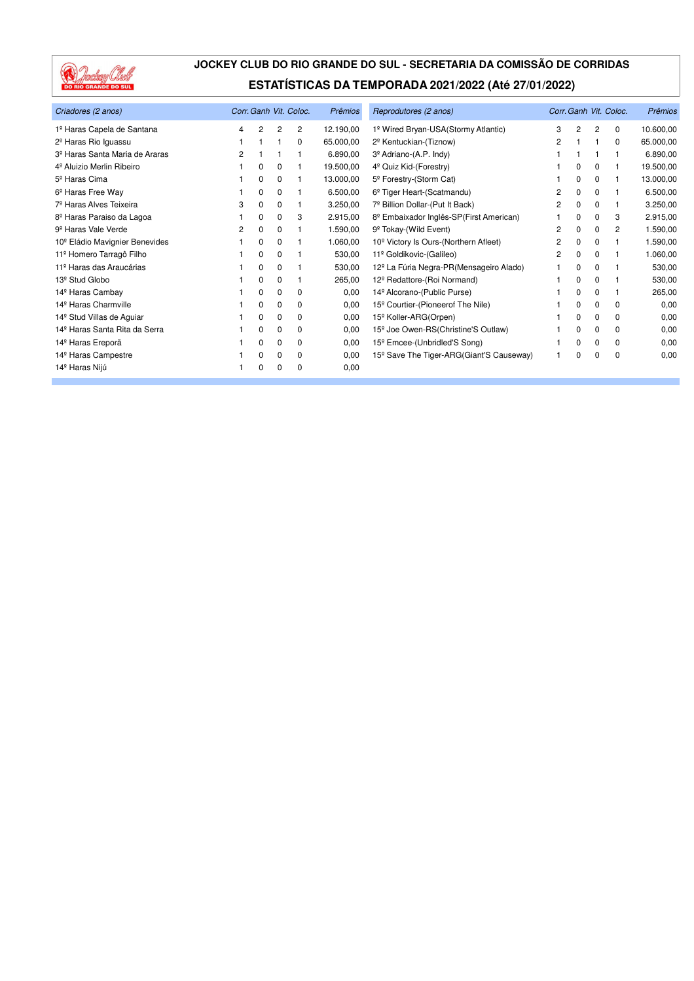

| Criadores (2 anos)                         | Corr. Ganh Vit. Coloc. |          |          |          | Prêmios   | Reprodutores (2 anos)                                | Corr. Ganh Vit. Coloc. |              |          |          | <b>Prêmios</b> |
|--------------------------------------------|------------------------|----------|----------|----------|-----------|------------------------------------------------------|------------------------|--------------|----------|----------|----------------|
| 1º Haras Capela de Santana                 | 4                      | 2        | 2        | 2        | 12.190,00 | 1º Wired Bryan-USA(Stormy Atlantic)                  | 3                      | 2            | 2        | 0        | 10.600,00      |
| 2 <sup>°</sup> Haras Rio Iguassu           |                        |          |          | 0        | 65.000,00 | 2 <sup>º</sup> Kentuckian-(Tiznow)                   | 2                      |              |          | $\Omega$ | 65.000,00      |
| 3 <sup>º</sup> Haras Santa Maria de Araras | 2                      |          |          |          | 6.890,00  | 3 <sup>º</sup> Adriano-(A.P. Indy)                   |                        |              |          |          | 6.890,00       |
| 4 <sup>º</sup> Aluizio Merlin Ribeiro      |                        | 0        | 0        |          | 19.500,00 | 4 <sup>°</sup> Quiz Kid-(Forestry)                   |                        | 0            | 0        |          | 19.500,00      |
| 5 <sup>º</sup> Haras Cima                  |                        | 0        | 0        |          | 13.000,00 | 5º Forestry-(Storm Cat)                              |                        | 0            | $\Omega$ |          | 13.000,00      |
| 6 <sup>°</sup> Haras Free Way              |                        | $\Omega$ | $\Omega$ |          | 6.500,00  | 6 <sup>°</sup> Tiger Heart-(Scatmandu)               | 2                      | $\Omega$     | $\Omega$ |          | 6.500,00       |
| 7 <sup>º</sup> Haras Alves Teixeira        | 3                      | $\Omega$ | 0        |          | 3.250,00  | 7 <sup>º</sup> Billion Dollar-(Put It Back)          | 2                      | $\Omega$     | 0        |          | 3.250,00       |
| 8º Haras Paraiso da Lagoa                  |                        | 0        | 0        | 3        | 2.915,00  | 8 <sup>°</sup> Embaixador Inglês-SP(First American)  |                        | 0            | 0        | 3        | 2.915,00       |
| 9 <sup>º</sup> Haras Vale Verde            | 2                      | 0        | 0        |          | 1.590,00  | 9 <sup>°</sup> Tokay-(Wild Event)                    | 2                      | <sup>0</sup> | 0        | 2        | 1.590,00       |
| 10 <sup>°</sup> Eládio Mavignier Benevides |                        | 0        | 0        |          | 1.060,00  | 10 <sup>°</sup> Victory Is Ours-(Northern Afleet)    | 2                      | $\Omega$     | $\Omega$ |          | 1.590,00       |
| 11º Homero Tarragô Filho                   |                        | 0        | 0        |          | 530,00    | 11º Goldikovic-(Galileo)                             | 2                      | 0            | 0        |          | 1.060,00       |
| 11º Haras das Araucárias                   |                        | 0        | $\Omega$ |          | 530,00    | 12 <sup>º</sup> La Fúria Negra-PR(Mensageiro Alado)  |                        | 0            |          |          | 530,00         |
| 13 <sup>º</sup> Stud Globo                 |                        | 0        | 0        |          | 265,00    | 12 <sup>°</sup> Redattore-(Roi Normand)              |                        | $\Omega$     | $\Omega$ |          | 530,00         |
| 14 <sup>º</sup> Haras Cambay               |                        | 0        | 0        | 0        | 0,00      | 14 <sup>°</sup> Alcorano-(Public Purse)              |                        | 0            | $\Omega$ |          | 265,00         |
| 14 <sup>º</sup> Haras Charmville           |                        | 0        | 0        | 0        | 0,00      | 15 <sup>°</sup> Courtier-(Pioneerof The Nile)        |                        | $\Omega$     | $\Omega$ | $\Omega$ | 0,00           |
| 14 <sup>°</sup> Stud Villas de Aguiar      |                        | 0        | 0        | $\Omega$ | 0,00      | 15 <sup>°</sup> Koller-ARG(Orpen)                    |                        | $\Omega$     | $\Omega$ | $\Omega$ | 0,00           |
| 14 <sup>º</sup> Haras Santa Rita da Serra  |                        | 0        | 0        | 0        | 0,00      | 15 <sup>°</sup> Joe Owen-RS(Christine'S Outlaw)      |                        | 0            | 0        | 0        | 0,00           |
| 14 <sup>º</sup> Haras Ereporã              |                        | 0        | 0        | 0        | 0,00      | 15 <sup>°</sup> Emcee-(Unbridled'S Song)             |                        | $\Omega$     | $\Omega$ | 0        | 0,00           |
| 14 <sup>°</sup> Haras Campestre            |                        | 0        | 0        | 0        | 0,00      | 15 <sup>°</sup> Save The Tiger-ARG(Giant'S Causeway) |                        | O            | $\Omega$ | 0        | 0,00           |
| 14º Haras Nijú                             |                        | 0        | 0        | $\Omega$ | 0,00      |                                                      |                        |              |          |          |                |